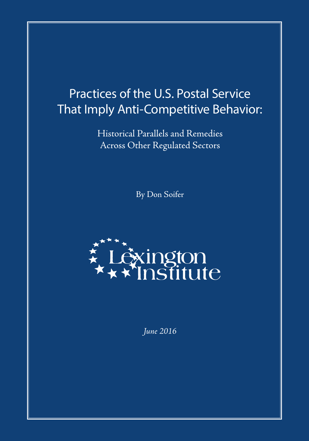# Practices of the U.S. Postal Service That Imply Anti-Competitive Behavior:

Historical Parallels and Remedies Across Other Regulated Sectors

By Don Soifer



*June 2016*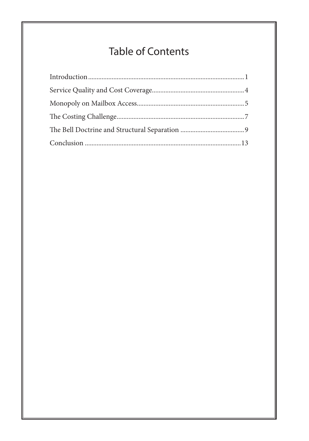# **Table of Contents**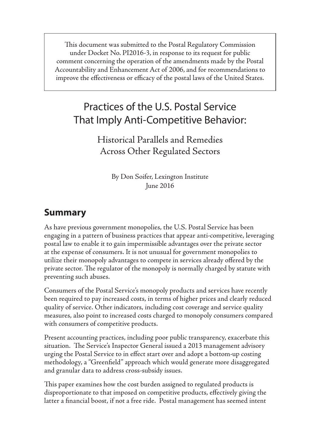This document was submitted to the Postal Regulatory Commission under Docket No. PI2016-3, in response to its request for public comment concerning the operation of the amendments made by the Postal Accountability and Enhancement Act of 2006, and for recommendations to improve the effectiveness or efficacy of the postal laws of the United States.

## Practices of the U.S. Postal Service That Imply Anti-Competitive Behavior:

Historical Parallels and Remedies Across Other Regulated Sectors

> By Don Soifer, Lexington Institute June 2016

#### **Summary**

As have previous government monopolies, the U.S. Postal Service has been engaging in a pattern of business practices that appear anti-competitive, leveraging postal law to enable it to gain impermissible advantages over the private sector at the expense of consumers. It is not unusual for government monopolies to utilize their monopoly advantages to compete in services already offered by the private sector. The regulator of the monopoly is normally charged by statute with preventing such abuses.

Consumers of the Postal Service's monopoly products and services have recently been required to pay increased costs, in terms of higher prices and clearly reduced quality of service. Other indicators, including cost coverage and service quality measures, also point to increased costs charged to monopoly consumers compared with consumers of competitive products.

Present accounting practices, including poor public transparency, exacerbate this situation. The Service's Inspector General issued a 2013 management advisory urging the Postal Service to in effect start over and adopt a bottom-up costing methodology, a "Greenfield" approach which would generate more disaggregated and granular data to address cross-subsidy issues.

This paper examines how the cost burden assigned to regulated products is disproportionate to that imposed on competitive products, effectively giving the latter a financial boost, if not a free ride. Postal management has seemed intent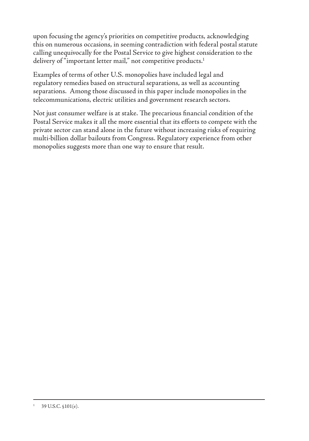upon focusing the agency's priorities on competitive products, acknowledging this on numerous occasions, in seeming contradiction with federal postal statute calling unequivocally for the Postal Service to give highest consideration to the delivery of "important letter mail," not competitive products.<sup>1</sup>

Examples of terms of other U.S. monopolies have included legal and regulatory remedies based on structural separations, as well as accounting separations. Among those discussed in this paper include monopolies in the telecommunications, electric utilities and government research sectors.

Not just consumer welfare is at stake. The precarious financial condition of the Postal Service makes it all the more essential that its efforts to compete with the private sector can stand alone in the future without increasing risks of requiring multi-billion dollar bailouts from Congress. Regulatory experience from other monopolies suggests more than one way to ensure that result.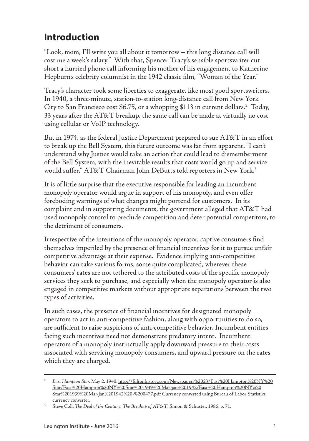#### <span id="page-4-0"></span>**Introduction**

"Look, mom, I'll write you all about it tomorrow – this long distance call will cost me a week's salary." With that, Spencer Tracy's sensible sportswriter cut short a hurried phone call informing his mother of his engagement to Katherine Hepburn's celebrity columnist in the 1942 classic film, "Woman of the Year."

Tracy's character took some liberties to exaggerate, like most good sportswriters. In 1940, a three-minute, station-to-station long-distance call from New York City to San Francisco cost \$6.75, or a whopping \$113 in current dollars.2 Today, 33 years after the AT&T breakup, the same call can be made at virtually no cost using cellular or VoIP technology.

But in 1974, as the federal Justice Department prepared to sue AT&T in an effort to break up the Bell System, this future outcome was far from apparent. "I can't understand why Justice would take an action that could lead to dismemberment of the Bell System, with the inevitable results that costs would go up and service would suffer," AT&T Chairman John DeButts told reporters in New York.<sup>3</sup>

It is of little surprise that the executive responsible for leading an incumbent monopoly operator would argue in support of his monopoly, and even offer foreboding warnings of what changes might portend for customers. In its complaint and in supporting documents, the government alleged that AT&T had used monopoly control to preclude competition and deter potential competitors, to the detriment of consumers.

Irrespective of the intentions of the monopoly operator, captive consumers find themselves imperiled by the presence of financial incentives for it to pursue unfair competitive advantage at their expense. Evidence implying anti-competitive behavior can take various forms, some quite complicated, wherever these consumers' rates are not tethered to the attributed costs of the specific monopoly services they seek to purchase, and especially when the monopoly operator is also engaged in competitive markets without appropriate separations between the two types of activities.

In such cases, the presence of financial incentives for designated monopoly operators to act in anti-competitive fashion, along with opportunities to do so, are sufficient to raise suspicions of anti-competitive behavior. Incumbent entities facing such incentives need not demonstrate predatory intent. Incumbent operators of a monopoly instinctually apply downward pressure to their costs associated with servicing monopoly consumers, and upward pressure on the rates which they are charged.

<sup>2</sup> *East Hampton Star,* May 2, 1940. http://fultonhistory.com/Newspapers%2023/East%20Hampton%20NY%20 Star/East%20Hampton%20NY%20Star%201939%20Mar-jan%201942/East%20Hampton%20NY%20 Star%201939%20Mar-jan%201942%20-%200477.pdf Currency converted using Bureau of Labor Statistics currency converter.

<sup>3</sup> Steve Coll, *The Deal of the Century: The Breakup of AT&T*, Simon & Schuster, 1986, p. 71.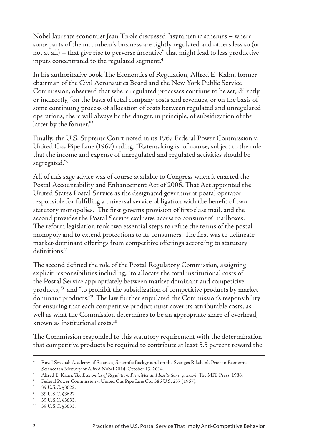Nobel laureate economist Jean Tirole discussed "asymmetric schemes – where some parts of the incumbent's business are tightly regulated and others less so (or not at all) – that give rise to perverse incentive" that might lead to less productive inputs concentrated to the regulated segment.<sup>4</sup>

In his authoritative book The Economics of Regulation, Alfred E. Kahn, former chairman of the Civil Aeronautics Board and the New York Public Service Commission, observed that where regulated processes continue to be set, directly or indirectly, "on the basis of total company costs and revenues, or on the basis of some continuing process of allocation of costs between regulated and unregulated operations, there will always be the danger, in principle, of subsidization of the latter by the former."5

Finally, the U.S. Supreme Court noted in its 1967 Federal Power Commission v. United Gas Pipe Line (1967) ruling, "Ratemaking is, of course, subject to the rule that the income and expense of unregulated and regulated activities should be segregated."6

All of this sage advice was of course available to Congress when it enacted the Postal Accountability and Enhancement Act of 2006. That Act appointed the United States Postal Service as the designated government postal operator responsible for fulfilling a universal service obligation with the benefit of two statutory monopolies. The first governs provision of first-class mail, and the second provides the Postal Service exclusive access to consumers' mailboxes. The reform legislation took two essential steps to refine the terms of the postal monopoly and to extend protections to its consumers. The first was to delineate market-dominant offerings from competitive offerings according to statutory definitions.7

The second defined the role of the Postal Regulatory Commission, assigning explicit responsibilities including, "to allocate the total institutional costs of the Postal Service appropriately between market-dominant and competitive products,"8 and "to prohibit the subsidization of competitive products by marketdominant products."9 The law further stipulated the Commission's responsibility for ensuring that each competitive product must cover its attributable costs, as well as what the Commission determines to be an appropriate share of overhead, known as institutional costs.10

The Commission responded to this statutory requirement with the determination that competitive products be required to contribute at least 5.5 percent toward the

<sup>4</sup> Royal Swedish Academy of Sciences, Scientific Background on the Sveriges Riksbank Prize in Economic Sciences in Memory of Alfred Nobel 2014, October 13, 2014.

<sup>5</sup> Alfred E. Kahn, *The Economics of Regulation: Principles and Institutions*, p. xxxvi, The MIT Press, 1988.

<sup>6</sup> Federal Power Commission v. United Gas Pipe Line Co., 386 U.S. 237 (1967).

<sup>7</sup> 39 U.S.C. §3622.

<sup>8</sup> 39 U.S.C. §3622.

<sup>9</sup> 39 U.S.C. §3633.

<sup>10</sup> 39 U.S.C. §3633.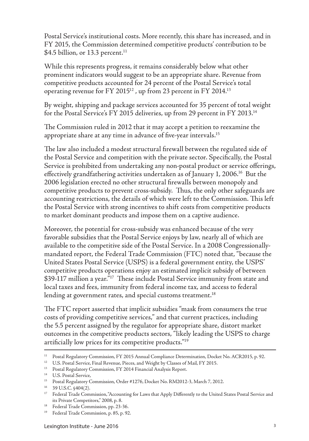Postal Service's institutional costs. More recently, this share has increased, and in FY 2015, the Commission determined competitive products' contribution to be \$4.5 billion, or 13.3 percent.<sup>11</sup>

While this represents progress, it remains considerably below what other prominent indicators would suggest to be an appropriate share. Revenue from competitive products accounted for 24 percent of the Postal Service's total operating revenue for FY 2015<sup>12</sup>, up from 23 percent in FY 2014.<sup>13</sup>

By weight, shipping and package services accounted for 35 percent of total weight for the Postal Service's FY 2015 deliveries, up from 29 percent in FY 2013.14

The Commission ruled in 2012 that it may accept a petition to reexamine the appropriate share at any time in advance of five-year intervals.<sup>15</sup>

The law also included a modest structural firewall between the regulated side of the Postal Service and competition with the private sector. Specifically, the Postal Service is prohibited from undertaking any non-postal product or service offerings, effectively grandfathering activities undertaken as of January 1, 2006.<sup>16</sup> But the 2006 legislation erected no other structural firewalls between monopoly and competitive products to prevent cross-subsidy. Thus, the only other safeguards are accounting restrictions, the details of which were left to the Commission. This left the Postal Service with strong incentives to shift costs from competitive products to market dominant products and impose them on a captive audience.

Moreover, the potential for cross-subsidy was enhanced because of the very favorable subsidies that the Postal Service enjoys by law, nearly all of which are available to the competitive side of the Postal Service. In a 2008 Congressionallymandated report, the Federal Trade Commission (FTC) noted that, "because the United States Postal Service (USPS) is a federal government entity, the USPS' competitive products operations enjoy an estimated implicit subsidy of between \$39-117 million a year."<sup>17</sup> These include Postal Service immunity from state and local taxes and fees, immunity from federal income tax, and access to federal lending at government rates, and special customs treatment.<sup>18</sup>

The FTC report asserted that implicit subsidies "mask from consumers the true costs of providing competitive services," and that current practices, including the 5.5 percent assigned by the regulator for appropriate share, distort market outcomes in the competitive products sectors, "likely leading the USPS to charge artificially low prices for its competitive products."19

<sup>&</sup>lt;sup>11</sup> Postal Regulatory Commission, FY 2015 Annual Compliance Determination, Docket No. ACR2015, p. 92.

<sup>12</sup> U.S. Postal Service, Final Revenue, Pieces, and Weight by Classes of Mail, FY 2015.

<sup>&</sup>lt;sup>13</sup> Postal Regulatory Commission, FY 2014 Financial Analysis Report.

<sup>&</sup>lt;sup>14</sup> U.S. Postal Service,

<sup>&</sup>lt;sup>15</sup> Postal Regulatory Commission, Order #1276, Docket No. RM2012-3, March 7, 2012.

<sup>16</sup> 39 U.S.C. §404(2).

<sup>17</sup> Federal Trade Commission, "Accounting for Laws that Apply Differently to the United States Postal Service and its Private Competitors," 2008, p. 8.

<sup>&</sup>lt;sup>18</sup> Federal Trade Commission, pp. 23-36.

<sup>19</sup> Federal Trade Commission, p. 85, p. 92.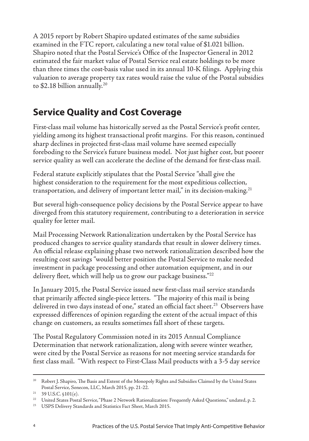<span id="page-7-0"></span>A 2015 report by Robert Shapiro updated estimates of the same subsidies examined in the FTC report, calculating a new total value of \$1.021 billion. Shapiro noted that the Postal Service's Office of the Inspector General in 2012 estimated the fair market value of Postal Service real estate holdings to be more than three times the cost-basis value used in its annual 10-K filings. Applying this valuation to average property tax rates would raise the value of the Postal subsidies to \$2.18 billion annually.20

#### **Service Quality and Cost Coverage**

First-class mail volume has historically served as the Postal Service's profit center, yielding among its highest transactional profit margins. For this reason, continued sharp declines in projected first-class mail volume have seemed especially foreboding to the Service's future business model. Not just higher cost, but poorer service quality as well can accelerate the decline of the demand for first-class mail.

Federal statute explicitly stipulates that the Postal Service "shall give the highest consideration to the requirement for the most expeditious collection, transportation, and delivery of important letter mail," in its decision-making.<sup>21</sup>

But several high-consequence policy decisions by the Postal Service appear to have diverged from this statutory requirement, contributing to a deterioration in service quality for letter mail.

Mail Processing Network Rationalization undertaken by the Postal Service has produced changes to service quality standards that result in slower delivery times. An official release explaining phase two network rationalization described how the resulting cost savings "would better position the Postal Service to make needed investment in package processing and other automation equipment, and in our delivery fleet, which will help us to grow our package business."<sup>22</sup>

In January 2015, the Postal Service issued new first-class mail service standards that primarily affected single-piece letters. "The majority of this mail is being delivered in two days instead of one," stated an official fact sheet. $^{23}$  Observers have expressed differences of opinion regarding the extent of the actual impact of this change on customers, as results sometimes fall short of these targets.

The Postal Regulatory Commission noted in its 2015 Annual Compliance Determination that network rationalization, along with severe winter weather, were cited by the Postal Service as reasons for not meeting service standards for first class mail. "With respect to First-Class Mail products with a 3-5 day service

<sup>20</sup> Robert J. Shapiro, The Basis and Extent of the Monopoly Rights and Subsidies Claimed by the United States Postal Service, Sonecon, LLC, March 2015, pp. 21-22.

 $21$  39 U.S.C.  $$101(e)$ .

<sup>&</sup>lt;sup>22</sup> United States Postal Service, "Phase 2 Network Rationalization: Frequently Asked Questions," undated, p. 2.

<sup>23</sup> USPS Delivery Standards and Statistics Fact Sheet, March 2015.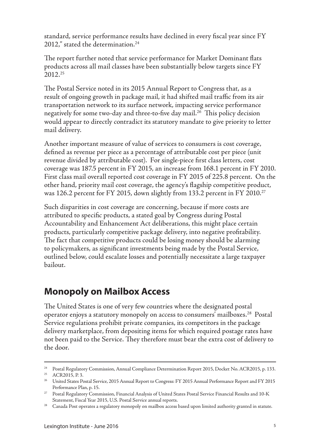<span id="page-8-0"></span>standard, service performance results have declined in every fiscal year since FY 2012," stated the determination.<sup>24</sup>

The report further noted that service performance for Market Dominant flats products across all mail classes have been substantially below targets since FY 2012.25

The Postal Service noted in its 2015 Annual Report to Congress that, as a result of ongoing growth in package mail, it had shifted mail traffic from its air transportation network to its surface network, impacting service performance negatively for some two-day and three-to-five day mail.<sup>26</sup> This policy decision would appear to directly contradict its statutory mandate to give priority to letter mail delivery.

Another important measure of value of services to consumers is cost coverage, defined as revenue per piece as a percentage of attributable cost per piece (unit revenue divided by attributable cost). For single-piece first class letters, cost coverage was 187.5 percent in FY 2015, an increase from 168.1 percent in FY 2010. First class mail overall reported cost coverage in FY 2015 of 225.8 percent. On the other hand, priority mail cost coverage, the agency's flagship competitive product, was 126.2 percent for FY 2015, down slightly from 133.2 percent in FY 2010.<sup>27</sup>

Such disparities in cost coverage are concerning, because if more costs are attributed to specific products, a stated goal by Congress during Postal Accountability and Enhancement Act deliberations, this might place certain products, particularly competitive package delivery, into negative profitability. The fact that competitive products could be losing money should be alarming to policymakers, as significant investments being made by the Postal Service, outlined below, could escalate losses and potentially necessitate a large taxpayer bailout.

#### **Monopoly on Mailbox Access**

The United States is one of very few countries where the designated postal operator enjoys a statutory monopoly on access to consumers' mailboxes.<sup>28</sup> Postal Service regulations prohibit private companies, its competitors in the package delivery marketplace, from depositing items for which required postage rates have not been paid to the Service. They therefore must bear the extra cost of delivery to the door.

<sup>24</sup> Postal Regulatory Commission, Annual Compliance Determination Report 2015, Docket No. ACR2015, p. 133.

<sup>25</sup> ACR2015, P. 3.

<sup>26</sup> United States Postal Service, 2015 Annual Report to Congress: FY 2015 Annual Performance Report and FY 2015 Performance Plan, p. 15.

<sup>27</sup> Postal Regulatory Commission, Financial Analysis of United States Postal Service Financial Results and 10-K Statement, Fiscal Year 2015, U.S. Postal Service annual reports.

 $28$  Canada Post operates a regulatory monopoly on mailbox access based upon limited authority granted in statute.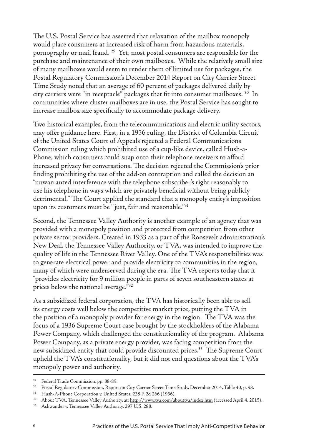The U.S. Postal Service has asserted that relaxation of the mailbox monopoly would place consumers at increased risk of harm from hazardous materials, pornography or mail fraud. 29 Yet, most postal consumers are responsible for the purchase and maintenance of their own mailboxes. While the relatively small size of many mailboxes would seem to render them of limited use for packages, the Postal Regulatory Commission's December 2014 Report on City Carrier Street Time Study noted that an average of 60 percent of packages delivered daily by city carriers were "in receptacle" packages that fit into consumer mailboxes. 30 In communities where cluster mailboxes are in use, the Postal Service has sought to increase mailbox size specifically to accommodate package delivery.

Two historical examples, from the telecommunications and electric utility sectors, may offer guidance here. First, in a 1956 ruling, the District of Columbia Circuit of the United States Court of Appeals rejected a Federal Communications Commission ruling which prohibited use of a cup-like device, called Hush-a-Phone, which consumers could snap onto their telephone receivers to afford increased privacy for conversations. The decision rejected the Commission's prior finding prohibiting the use of the add-on contraption and called the decision an "unwarranted interference with the telephone subscriber's right reasonably to use his telephone in ways which are privately beneficial without being publicly detrimental." The Court applied the standard that a monopoly entity's imposition upon its customers must be "just, fair and reasonable."<sup>31</sup>

Second, the Tennessee Valley Authority is another example of an agency that was provided with a monopoly position and protected from competition from other private sector providers. Created in 1933 as a part of the Roosevelt administration's New Deal, the Tennessee Valley Authority, or TVA, was intended to improve the quality of life in the Tennessee River Valley. One of the TVA's responsibilities was to generate electrical power and provide electricity to communities in the region, many of which were underserved during the era. The TVA reports today that it "provides electricity for 9 million people in parts of seven southeastern states at prices below the national average."32

As a subsidized federal corporation, the TVA has historically been able to sell its energy costs well below the competitive market price, putting the TVA in the position of a monopoly provider for energy in the region. The TVA was the focus of a 1936 Supreme Court case brought by the stockholders of the Alabama Power Company, which challenged the constitutionality of the program. Alabama Power Company, as a private energy provider, was facing competition from the new subsidized entity that could provide discounted prices.<sup>33</sup> The Supreme Court upheld the TVA's constitutionality, but it did not end questions about the TVA's monopoly power and authority.

<sup>31</sup> Hush-A-Phone Corporation v. United States, 238 F. 2d 266 (1956).

<sup>29</sup> Federal Trade Commission, pp. 88-89.

<sup>&</sup>lt;sup>30</sup> Postal Regulatory Commission, Report on City Carrier Street Time Study, December 2014, Table 40, p. 98.

<sup>&</sup>lt;sup>32</sup> About TVA, Tennessee Valley Authority, at: http://www.tva.com/abouttva/index.htm (accessed April 4, 2015).

<sup>33</sup> Ashwander v. Tennessee Valley Authority, 297 U.S. 288.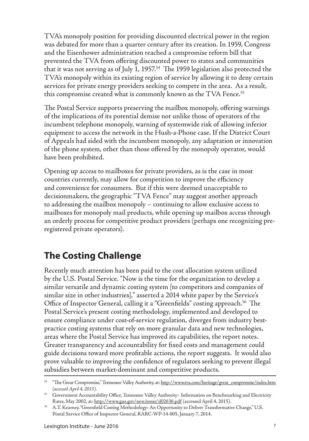<span id="page-10-0"></span>TVA's monopoly position for providing discounted electrical power in the region was debated for more than a quarter century after its creation. In 1959, Congress and the Eisenhower administration reached a compromise reform bill that prevented the TVA from offering discounted power to states and communities that it was not serving as of July 1, 1957. $34$  The 1959 legislation also protected the TVA's monopoly within its existing region of service by allowing it to deny certain services for private energy providers seeking to compete in the area. As a result, this compromise created what is commonly known as the TVA Fence.<sup>35</sup>

The Postal Service supports preserving the mailbox monopoly, offering warnings of the implications of its potential demise not unlike those of operators of the incumbent telephone monopoly, warning of systemwide risk of allowing inferior equipment to access the network in the Hush-a-Phone case. If the District Court of Appeals had sided with the incumbent monopoly, any adaptation or innovation of the phone system, other than those offered by the monopoly operator, would have been prohibited.

Opening up access to mailboxes for private providers, as is the case in most countries currently, may allow for competition to improve the efficiency and convenience for consumers. But if this were deemed unacceptable to decisionmakers, the geographic "TVA Fence" may suggest another approach to addressing the mailbox monopoly – continuing to allow exclusive access to mailboxes for monopoly mail products, while opening up mailbox access through an orderly process for competitive product providers (perhaps one recognizing preregistered private operators).

#### **The Costing Challenge**

Recently much attention has been paid to the cost allocation system utilized by the U.S. Postal Service. "Now is the time for the organization to develop a similar versatile and dynamic costing system [to competitors and companies of similar size in other industries]," asserted a 2014 white paper by the Service's Office of Inspector General, calling it a "Greenfields" costing approach.<sup>36</sup> The Postal Service's present costing methodology, implemented and developed to ensure compliance under cost-of-service regulation, diverges from industry bestpractice costing systems that rely on more granular data and new technologies, areas where the Postal Service has improved its capabilities, the report notes. Greater transparency and accountability for fixed costs and management could guide decisions toward more profitable actions, the report suggests. It would also prove valuable to improving the confidence of regulators seeking to prevent illegal subsidies between market-dominant and competitive products.

<sup>&</sup>lt;sup>34</sup> "The Great Compromise," Tennessee Valley Authority, at: http://www.tva.com/heritage/great\_compromise/index.htm *(accessed April 4, 2015)*.

<sup>&</sup>lt;sup>35</sup> Government Accountability Office, Tennessee Valley Authority: Information on Benchmarking and Electricity Rates, May 2002, at: http://www.gao.gov/new.items/d02636.pdf (accessed April 4, 2015).

<sup>36</sup> A.T. Kearney, "Greenfield Costing Methodology: An Opportunity to Deliver Transformative Change," U.S. Postal Service Office of Inspector General, RARC-WP-14-005, January 7, 2014.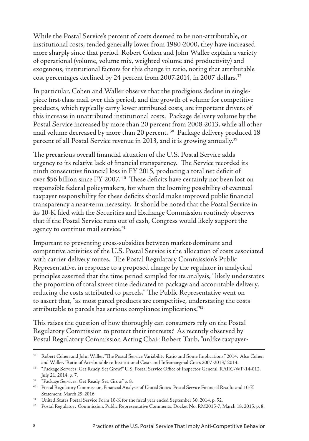While the Postal Service's percent of costs deemed to be non-attributable, or institutional costs, tended generally lower from 1980-2000, they have increased more sharply since that period. Robert Cohen and John Waller explain a variety of operational (volume, volume mix, weighted volume and productivity) and exogenous, institutional factors for this change in ratio, noting that attributable cost percentages declined by 24 percent from 2007-2014, in 2007 dollars.<sup>37</sup>

In particular, Cohen and Waller observe that the prodigious decline in singlepiece first-class mail over this period, and the growth of volume for competitive products, which typically carry lower attributed costs, are important drivers of this increase in unattributed institutional costs. Package delivery volume by the Postal Service increased by more than 20 percent from 2008-2013, while all other mail volume decreased by more than 20 percent. 38 Package delivery produced 18 percent of all Postal Service revenue in 2013, and it is growing annually.39

The precarious overall financial situation of the U.S. Postal Service adds urgency to its relative lack of financial transparency. The Service recorded its ninth consecutive financial loss in FY 2015, producing a total net deficit of over \$56 billion since FY 2007. 40 These deficits have certainly not been lost on responsible federal policymakers, for whom the looming possibility of eventual taxpayer responsibility for these deficits should make improved public financial transparency a near-term necessity. It should be noted that the Postal Service in its 10-K filed with the Securities and Exchange Commission routinely observes that if the Postal Service runs out of cash, Congress would likely support the agency to continue mail service.<sup>41</sup>

Important to preventing cross-subsidies between market-dominant and competitive activities of the U.S. Postal Service is the allocation of costs associated with carrier delivery routes. The Postal Regulatory Commission's Public Representative, in response to a proposed change by the regulator in analytical principles asserted that the time period sampled for its analysis, "likely understates the proportion of total street time dedicated to package and accountable delivery, reducing the costs attributed to parcels." The Public Representative went on to assert that, "as most parcel products are competitive, understating the costs attributable to parcels has serious compliance implications."42

This raises the question of how thoroughly can consumers rely on the Postal Regulatory Commission to protect their interests? As recently observed by Postal Regulatory Commission Acting Chair Robert Taub, "unlike taxpayer-

<sup>37</sup> Robert Cohen and John Waller, "The Postal Service Variability Ratio and Some Implications," 2014. Also Cohen and Waller, "Ratio of Attributable to Institutional Costs and Inframarginal Costs 2007-2013," 2014.

<sup>38</sup> "Package Services: Get Ready, Set Grow!" U.S. Postal Service Office of Inspector General, RARC-WP-14-012, July 21, 2014, p. 7.

<sup>39</sup> "Package Services: Get Ready, Set, Grow," p. 8.

<sup>40</sup> Postal Regulatory Commission, Financial Analysis of United States Postal Service Financial Results and 10-K Statement, March 29, 2016.

<sup>&</sup>lt;sup>41</sup> United States Postal Service Form 10-K for the fiscal year ended September 30, 2014, p. 52.

<sup>42</sup> Postal Regulatory Commission, Public Representative Comments, Docket No. RM2015-7, March 18, 2015, p. 8.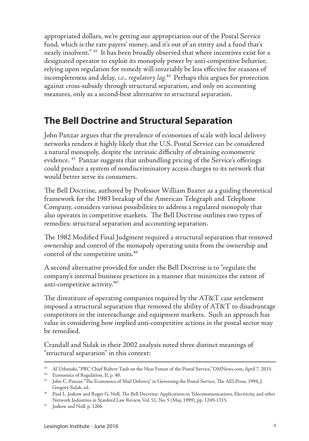<span id="page-12-0"></span>appropriated dollars, we're getting our appropriation out of the Postal Service fund, which is the rate payers' money, and it's out of an entity and a fund that's nearly insolvent." 43 It has been broadly observed that where incentives exist for a designated operator to exploit its monopoly power by anti-competitive behavior, relying upon regulation for remedy will invariably be less effective for reasons of incompleteness and delay, *i.e., regulatory lag.*44 Perhaps this argues for protection against cross-subsidy through structural separation, and only on accounting measures, only as a second-best alternative to structural separation.

#### **The Bell Doctrine and Structural Separation**

John Panzar argues that the prevalence of economies of scale with local delivery networks renders it highly likely that the U.S. Postal Service can be considered a natural monopoly, despite the intrinsic difficulty of obtaining econometric evidence. <sup>45</sup> Panzar suggests that unbundling pricing of the Service's offerings could produce a system of nondiscriminatory access charges to its network that would better serve its consumers.

The Bell Doctrine, authored by Professor William Baxter as a guiding theoretical framework for the 1983 breakup of the American Telegraph and Telephone Company, considers various possibilities to address a regulated monopoly that also operates in competitive markets. The Bell Doctrine outlines two types of remedies: structural separation and accounting separation.

The 1982 Modified Final Judgment required a structural separation that removed ownership and control of the monopoly operating units from the ownership and control of the competitive units.<sup>46</sup>

A second alternative provided for under the Bell Doctrine is to "regulate the company's internal business practices in a manner that minimizes the extent of anti-competitive activity."47

The divestiture of operating companies required by the AT&T case settlement imposed a structural separation that removed the ability of AT&T to disadvantage competitors in the interexchange and equipment markets. Such an approach has value in considering how implied anti-competitive actions in the postal sector may be remedied.

Crandall and Sidak in their 2002 analysis noted three distinct meanings of "structural separation" in this context:

<sup>&</sup>lt;sup>43</sup> Al Urbanski, "PRC Chief Robert Taub on the Near Future of the Postal Service," DMNews.com, April 7, 2015.

<sup>44</sup> Economics of Regulation, II, p. 48.

<sup>45</sup> John C. Panzar, "The Economics of Mail Delivery," in Governing the Postal Service, The AEI Press, 1994, J. Gregory Sidak, ed.

<sup>46</sup> Paul L. Joskow and Roger G. Noll, The Bell Doctrine: Applications in Telecommunications, Electricity, and other Network Industries in Stanford Law Review, Vol. 51, No. 5 (May, 1999), pp. 1249-1315.

<sup>47</sup> Joskow and Noll, p. 1266.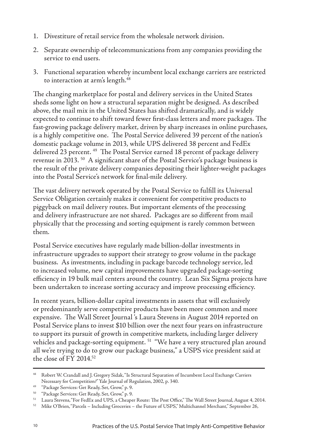- 1. Divestiture of retail service from the wholesale network division.
- 2. Separate ownership of telecommunications from any companies providing the service to end users.
- 3. Functional separation whereby incumbent local exchange carriers are restricted to interaction at arm's length.48

The changing marketplace for postal and delivery services in the United States sheds some light on how a structural separation might be designed. As described above, the mail mix in the United States has shifted dramatically, and is widely expected to continue to shift toward fewer first-class letters and more packages. The fast-growing package delivery market, driven by sharp increases in online purchases, is a highly competitive one. The Postal Service delivered 39 percent of the nation's domestic package volume in 2013, while UPS delivered 38 percent and FedEx delivered 23 percent.<sup>49</sup> The Postal Service earned 18 percent of package delivery revenue in 2013. 50 A significant share of the Postal Service's package business is the result of the private delivery companies depositing their lighter-weight packages into the Postal Service's network for final-mile delivery.

The vast delivery network operated by the Postal Service to fulfill its Universal Service Obligation certainly makes it convenient for competitive products to piggyback on mail delivery routes. But important elements of the processing and delivery infrastructure are not shared. Packages are so different from mail physically that the processing and sorting equipment is rarely common between them.

Postal Service executives have regularly made billion-dollar investments in infrastructure upgrades to support their strategy to grow volume in the package business. As investments, including in package barcode technology service, led to increased volume, new capital improvements have upgraded package-sorting efficiency in 19 bulk mail centers around the country. Lean Six Sigma projects have been undertaken to increase sorting accuracy and improve processing efficiency.

In recent years, billion-dollar capital investments in assets that will exclusively or predominantly serve competitive products have been more common and more expensive. The Wall Street Journal 's Laura Stevens in August 2014 reported on Postal Service plans to invest \$10 billion over the next four years on infrastructure to support its pursuit of growth in competitive markets, including larger delivery vehicles and package-sorting equipment.<sup>51</sup> "We have a very structured plan around all we're trying to do to grow our package business," a USPS vice president said at the close of FY 2014. $52$ 

<sup>48</sup> Robert W. Crandall and J. Gregory Sidak, "Is Structural Separation of Incumbent Local Exchange Carriers Necessary for Competition?" Yale Journal of Regulation, 2002, p. 340.

<sup>49</sup> "Package Services: Get Ready, Set, Grow," p. 9.

<sup>50</sup> "Package Services: Get Ready, Set, Grow," p. 9.

<sup>51</sup> Laura Stevens, "For FedEx and UPS, a Cheaper Route: The Post Office," The Wall Street Journal, August 4, 2014.

 $52$  Mike O'Brien, "Parcels – Including Groceries – the Future of USPS," Multichannel Merchant," September 26,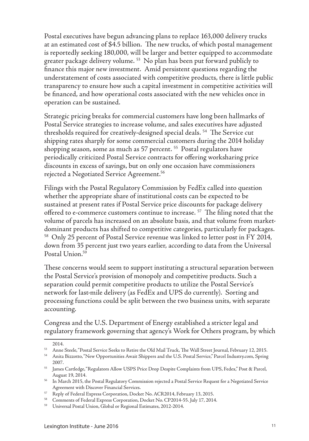Postal executives have begun advancing plans to replace 163,000 delivery trucks at an estimated cost of \$4.5 billion. The new trucks, of which postal management is reportedly seeking 180,000, will be larger and better equipped to accommodate greater package delivery volume. 53 No plan has been put forward publicly to finance this major new investment. Amid persistent questions regarding the understatement of costs associated with competitive products, there is little public transparency to ensure how such a capital investment in competitive activities will be financed, and how operational costs associated with the new vehicles once in operation can be sustained.

Strategic pricing breaks for commercial customers have long been hallmarks of Postal Service strategies to increase volume, and sales executives have adjusted thresholds required for creatively-designed special deals. 54 The Service cut shipping rates sharply for some commercial customers during the 2014 holiday shopping season, some as much as 57 percent.<sup>55</sup> Postal regulators have periodically criticized Postal Service contracts for offering worksharing price discounts in excess of savings, but on only one occasion have commissioners rejected a Negotiated Service Agreement.56

Filings with the Postal Regulatory Commission by FedEx called into question whether the appropriate share of institutional costs can be expected to be sustained at present rates if Postal Service price discounts for package delivery offered to e-commerce customers continue to increase.<sup>57</sup> The filing noted that the volume of parcels has increased on an absolute basis, and that volume from marketdominant products has shifted to competitive categories, particularly for packages. 58 Only 25 percent of Postal Service revenue was linked to letter post in FY 2014, down from 35 percent just two years earlier, according to data from the Universal Postal Union.<sup>59</sup>

These concerns would seem to support instituting a structural separation between the Postal Service's provision of monopoly and competitive products. Such a separation could permit competitive products to utilize the Postal Service's network for last-mile delivery (as FedEx and UPS do currently). Sorting and processing functions could be split between the two business units, with separate accounting.

Congress and the U.S. Department of Energy established a stricter legal and regulatory framework governing that agency's Work for Others program, by which

<sup>2014.</sup>

<sup>53</sup> Anne Steele, "Postal Service Seeks to Retire the Old Mail Truck, The Wall Street Journal, February 12, 2015.

<sup>54</sup> Anita Bizzotto, "New Opportunities Await Shippers and the U.S. Postal Service," Parcel Industry.com, Spring 2007.

<sup>55</sup> James Cartledge, "Regulators Allow USPS Price Drop Despite Complaints from UPS, Fedex," Post & Parcel, August 19, 2014.

<sup>56</sup> In March 2015, the Postal Regulatory Commission rejected a Postal Service Request for a Negotiated Service Agreement with Discover Financial Services.

<sup>57</sup> Reply of Federal Express Corporation, Docket No. ACR2014, February 13, 2015.

<sup>58</sup> Comments of Federal Express Corporation, Docket No. CP2014-55. July 17, 2014.

<sup>59</sup> Universal Postal Union, Global or Regional Estimates, 2012-2014.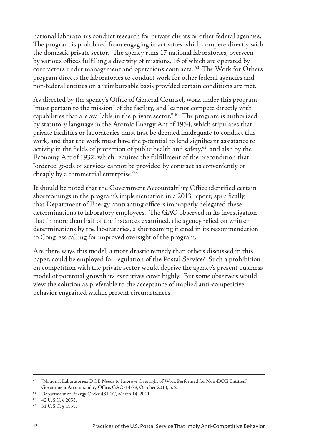national laboratories conduct research for private clients or other federal agencies. The program is prohibited from engaging in activities which compete directly with the domestic private sector. The agency runs 17 national laboratories, overseen by various offices fulfilling a diversity of missions, 16 of which are operated by contractors under management and operations contracts.<sup>60</sup> The Work for Others program directs the laboratories to conduct work for other federal agencies and non-federal entities on a reimbursable basis provided certain conditions are met.

As directed by the agency's Office of General Counsel, work under this program "must pertain to the mission" of the facility, and "cannot compete directly with capabilities that are available in the private sector." 61 The program is authorized by statutory language in the Atomic Energy Act of 1954, which stipulates that private facilities or laboratories must first be deemed inadequate to conduct this work, and that the work must have the potential to lend significant assistance to activity in the fields of protection of public health and safety,<sup>62</sup> and also by the Economy Act of 1932, which requires the fulfillment of the precondition that "ordered goods or services cannot be provided by contract as conveniently or cheaply by a commercial enterprise."63

It should be noted that the Government Accountability Office identified certain shortcomings in the program's implementation in a 2013 report; specifically, that Department of Energy contracting officers improperly delegated these determinations to laboratory employees. The GAO observed in its investigation that in more than half of the instances examined, the agency relied on written determinations by the laboratories, a shortcoming it cited in its recommendation to Congress calling for improved oversight of the program.

Are there ways this model, a more drastic remedy than others discussed in this paper, could be employed for regulation of the Postal Service? Such a prohibition on competition with the private sector would deprive the agency's present business model of potential growth its executives covet highly. But some observers would view the solution as preferable to the acceptance of implied anti-competitive behavior engrained within present circumstances.

<sup>60</sup> "National Laboratories: DOE Needs to Improve Oversight of Work Performed for Non-DOE Entities," Government Accountability Office, GAO-14-78, October 2013, p. 2.

<sup>61</sup> Department of Energy Order 481.1C, March 14, 2011.

<sup>62</sup> 42 U.S.C. § 2053.

<sup>63</sup> 31 U.S.C. § 1535.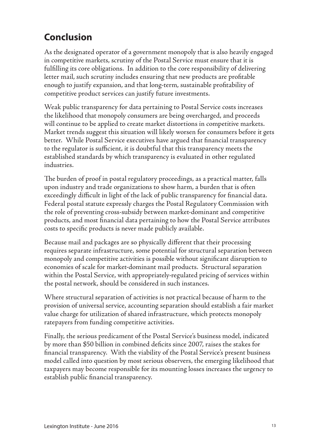### <span id="page-16-0"></span>**Conclusion**

As the designated operator of a government monopoly that is also heavily engaged in competitive markets, scrutiny of the Postal Service must ensure that it is fulfilling its core obligations. In addition to the core responsibility of delivering letter mail, such scrutiny includes ensuring that new products are profitable enough to justify expansion, and that long-term, sustainable profitability of competitive product services can justify future investments.

Weak public transparency for data pertaining to Postal Service costs increases the likelihood that monopoly consumers are being overcharged, and proceeds will continue to be applied to create market distortions in competitive markets. Market trends suggest this situation will likely worsen for consumers before it gets better. While Postal Service executives have argued that financial transparency to the regulator is sufficient, it is doubtful that this transparency meets the established standards by which transparency is evaluated in other regulated industries.

The burden of proof in postal regulatory proceedings, as a practical matter, falls upon industry and trade organizations to show harm, a burden that is often exceedingly difficult in light of the lack of public transparency for financial data. Federal postal statute expressly charges the Postal Regulatory Commission with the role of preventing cross-subsidy between market-dominant and competitive products, and most financial data pertaining to how the Postal Service attributes costs to specific products is never made publicly available.

Because mail and packages are so physically different that their processing requires separate infrastructure, some potential for structural separation between monopoly and competitive activities is possible without significant disruption to economies of scale for market-dominant mail products. Structural separation within the Postal Service, with appropriately-regulated pricing of services within the postal network, should be considered in such instances.

Where structural separation of activities is not practical because of harm to the provision of universal service, accounting separation should establish a fair market value charge for utilization of shared infrastructure, which protects monopoly ratepayers from funding competitive activities.

Finally, the serious predicament of the Postal Service's business model, indicated by more than \$50 billion in combined deficits since 2007, raises the stakes for financial transparency. With the viability of the Postal Service's present business model called into question by most serious observers, the emerging likelihood that taxpayers may become responsible for its mounting losses increases the urgency to establish public financial transparency.